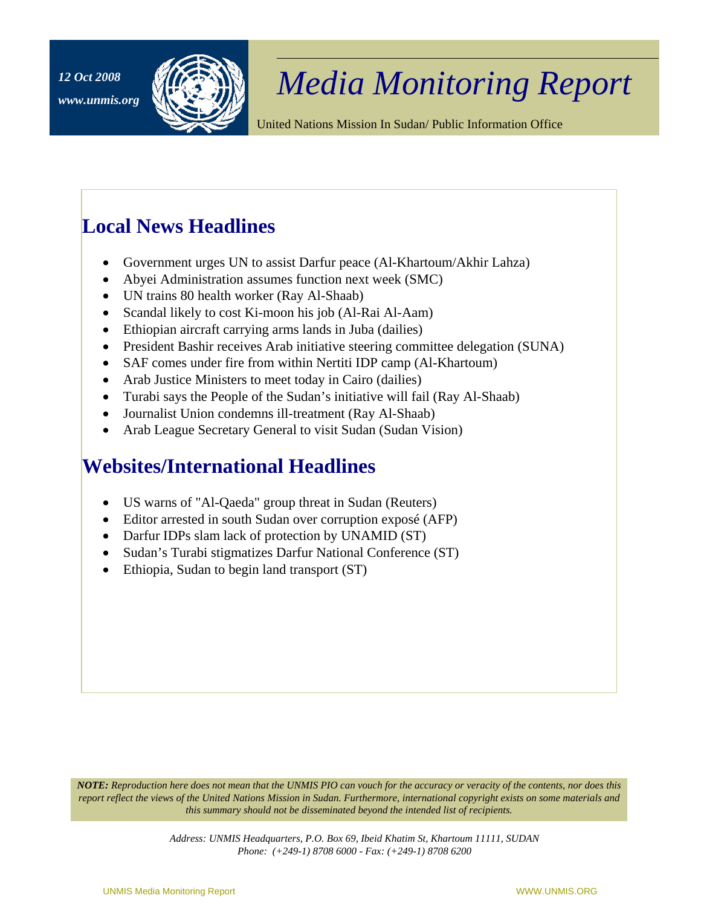

## <sup>12 Oct 2008</sup> *Media Monitoring Report*

United Nations Mission In Sudan/ Public Information Office

## **Local News Headlines**

- Government urges UN to assist Darfur peace (Al-Khartoum/Akhir Lahza)
- Abyei Administration assumes function next week (SMC)
- UN trains 80 health worker (Ray Al-Shaab)
- Scandal likely to cost Ki-moon his job (Al-Rai Al-Aam)
- Ethiopian aircraft carrying arms lands in Juba (dailies)
- President Bashir receives Arab initiative steering committee delegation (SUNA)
- SAF comes under fire from within Nertiti IDP camp (Al-Khartoum)
- Arab Justice Ministers to meet today in Cairo (dailies)
- Turabi says the People of the Sudan's initiative will fail (Ray Al-Shaab)
- Journalist Union condemns ill-treatment (Ray Al-Shaab)
- Arab League Secretary General to visit Sudan (Sudan Vision)

## **Websites/International Headlines**

- US warns of "Al-Qaeda" group threat in Sudan (Reuters)
- Editor arrested in south Sudan over corruption exposé (AFP)
- Darfur IDPs slam lack of protection by UNAMID (ST)
- Sudan's Turabi stigmatizes Darfur National Conference (ST)
- Ethiopia, Sudan to begin land transport (ST)

*NOTE: Reproduction here does not mean that the UNMIS PIO can vouch for the accuracy or veracity of the contents, nor does this report reflect the views of the United Nations Mission in Sudan. Furthermore, international copyright exists on some materials and this summary should not be disseminated beyond the intended list of recipients.* 

> *Address: UNMIS Headquarters, P.O. Box 69, Ibeid Khatim St, Khartoum 11111, SUDAN Phone: (+249-1) 8708 6000 - Fax: (+249-1) 8708 6200*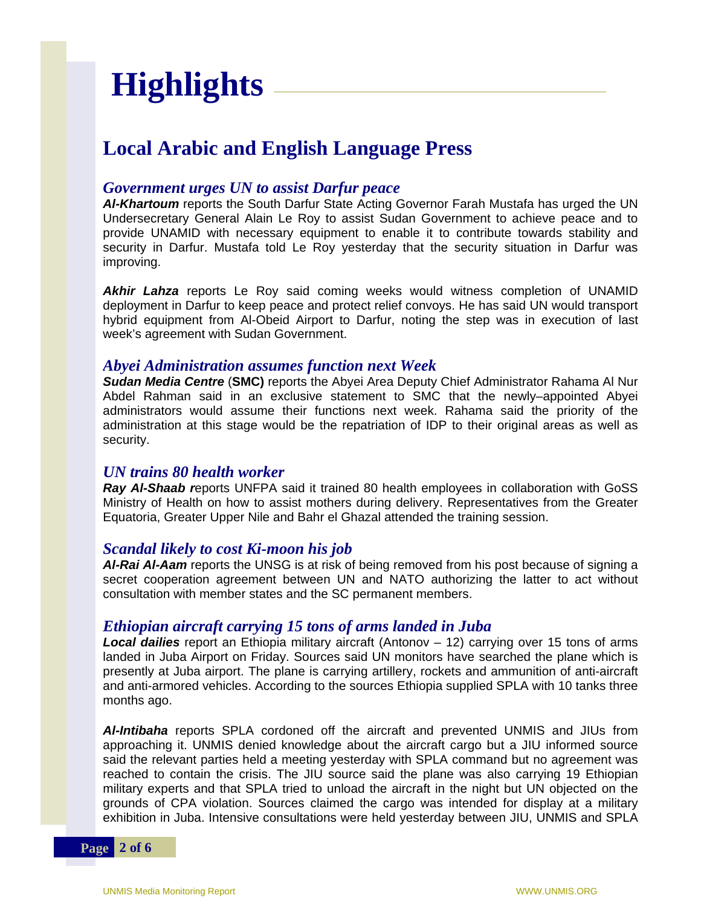# **Highlights**

## **Local Arabic and English Language Press**

#### *Government urges UN to assist Darfur peace*

*Al-Khartoum* reports the South Darfur State Acting Governor Farah Mustafa has urged the UN Undersecretary General Alain Le Roy to assist Sudan Government to achieve peace and to provide UNAMID with necessary equipment to enable it to contribute towards stability and security in Darfur. Mustafa told Le Roy yesterday that the security situation in Darfur was improving.

*Akhir Lahza* reports Le Roy said coming weeks would witness completion of UNAMID deployment in Darfur to keep peace and protect relief convoys. He has said UN would transport hybrid equipment from Al-Obeid Airport to Darfur, noting the step was in execution of last week's agreement with Sudan Government.

#### *Abyei Administration assumes function next Week*

*Sudan Media Centre* (**SMC)** reports the Abyei Area Deputy Chief Administrator Rahama Al Nur Abdel Rahman said in an exclusive statement to SMC that the newly–appointed Abyei administrators would assume their functions next week. Rahama said the priority of the administration at this stage would be the repatriation of IDP to their original areas as well as security.

#### *UN trains 80 health worker*

*Ray Al-Shaab r*eports UNFPA said it trained 80 health employees in collaboration with GoSS Ministry of Health on how to assist mothers during delivery. Representatives from the Greater Equatoria, Greater Upper Nile and Bahr el Ghazal attended the training session.

#### *Scandal likely to cost Ki-moon his job*

*Al-Rai Al-Aam* reports the UNSG is at risk of being removed from his post because of signing a secret cooperation agreement between UN and NATO authorizing the latter to act without consultation with member states and the SC permanent members.

#### *Ethiopian aircraft carrying 15 tons of arms landed in Juba*

*Local dailies* report an Ethiopia military aircraft (Antonov – 12) carrying over 15 tons of arms landed in Juba Airport on Friday. Sources said UN monitors have searched the plane which is presently at Juba airport. The plane is carrying artillery, rockets and ammunition of anti-aircraft and anti-armored vehicles. According to the sources Ethiopia supplied SPLA with 10 tanks three months ago.

*Al-Intibaha* reports SPLA cordoned off the aircraft and prevented UNMIS and JIUs from approaching it. UNMIS denied knowledge about the aircraft cargo but a JIU informed source said the relevant parties held a meeting yesterday with SPLA command but no agreement was reached to contain the crisis. The JIU source said the plane was also carrying 19 Ethiopian military experts and that SPLA tried to unload the aircraft in the night but UN objected on the grounds of CPA violation. Sources claimed the cargo was intended for display at a military exhibition in Juba. Intensive consultations were held yesterday between JIU, UNMIS and SPLA

**Page 2 of 6**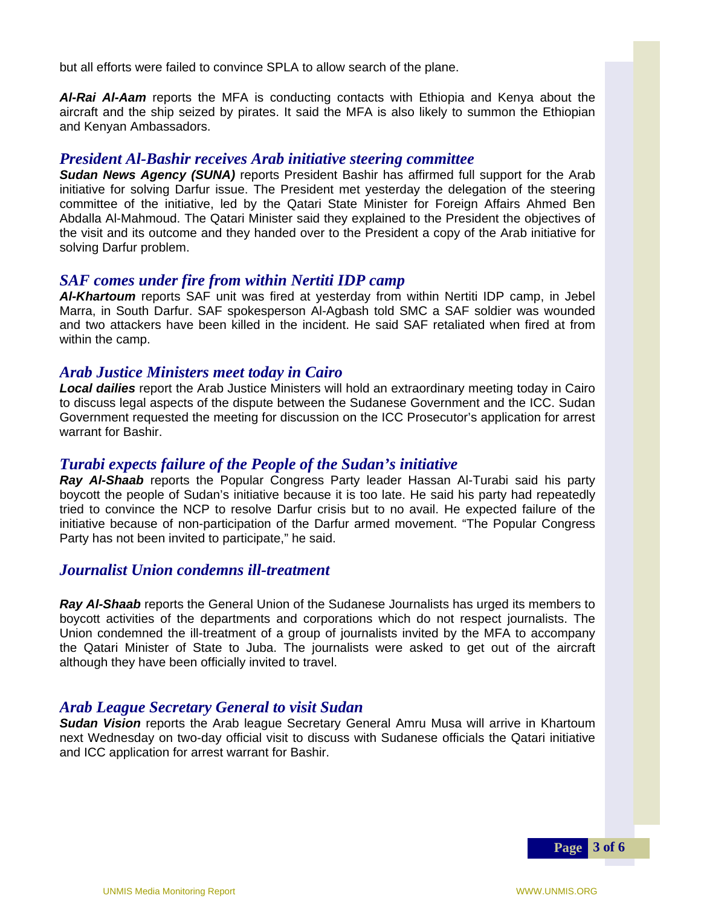but all efforts were failed to convince SPLA to allow search of the plane.

*Al-Rai Al-Aam* reports the MFA is conducting contacts with Ethiopia and Kenya about the aircraft and the ship seized by pirates. It said the MFA is also likely to summon the Ethiopian and Kenyan Ambassadors.

#### *President Al-Bashir receives Arab initiative steering committee*

*Sudan News Agency (SUNA)* reports President Bashir has affirmed full support for the Arab initiative for solving Darfur issue. The President met yesterday the delegation of the steering committee of the initiative, led by the Qatari State Minister for Foreign Affairs Ahmed Ben Abdalla Al-Mahmoud. The Qatari Minister said they explained to the President the objectives of the visit and its outcome and they handed over to the President a copy of the Arab initiative for solving Darfur problem.

#### *SAF comes under fire from within Nertiti IDP camp*

*Al-Khartoum* reports SAF unit was fired at yesterday from within Nertiti IDP camp, in Jebel Marra, in South Darfur. SAF spokesperson Al-Agbash told SMC a SAF soldier was wounded and two attackers have been killed in the incident. He said SAF retaliated when fired at from within the camp.

#### *Arab Justice Ministers meet today in Cairo*

*Local dailies* report the Arab Justice Ministers will hold an extraordinary meeting today in Cairo to discuss legal aspects of the dispute between the Sudanese Government and the ICC. Sudan Government requested the meeting for discussion on the ICC Prosecutor's application for arrest warrant for Bashir.

#### *Turabi expects failure of the People of the Sudan's initiative*

*Ray Al-Shaab* reports the Popular Congress Party leader Hassan Al-Turabi said his party boycott the people of Sudan's initiative because it is too late. He said his party had repeatedly tried to convince the NCP to resolve Darfur crisis but to no avail. He expected failure of the initiative because of non-participation of the Darfur armed movement. "The Popular Congress Party has not been invited to participate," he said.

#### *Journalist Union condemns ill-treatment*

*Ray Al-Shaab* reports the General Union of the Sudanese Journalists has urged its members to boycott activities of the departments and corporations which do not respect journalists. The Union condemned the ill-treatment of a group of journalists invited by the MFA to accompany the Qatari Minister of State to Juba. The journalists were asked to get out of the aircraft although they have been officially invited to travel.

#### *Arab League Secretary General to visit Sudan*

*Sudan Vision* reports the Arab league Secretary General Amru Musa will arrive in Khartoum next Wednesday on two-day official visit to discuss with Sudanese officials the Qatari initiative and ICC application for arrest warrant for Bashir.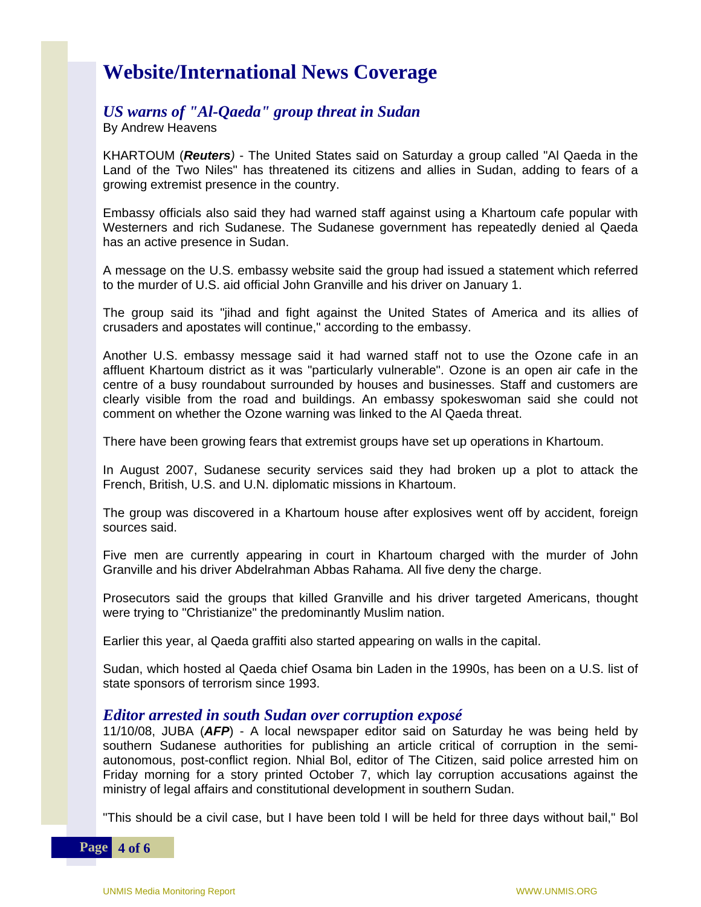## **Website/International News Coverage**

#### *US warns of "Al-Qaeda" group threat in Sudan*

By Andrew Heavens

KHARTOUM (*Reuters)* - The United States said on Saturday a group called "Al Qaeda in the Land of the Two Niles" has threatened its citizens and allies in Sudan, adding to fears of a growing extremist presence in the country.

Embassy officials also said they had warned staff against using a Khartoum cafe popular with Westerners and rich Sudanese. The Sudanese government has repeatedly denied al Qaeda has an active presence in Sudan.

A message on the U.S. embassy website said the group had issued a statement which referred to the murder of U.S. aid official John Granville and his driver on January 1.

The group said its "jihad and fight against the United States of America and its allies of crusaders and apostates will continue," according to the embassy.

Another U.S. embassy message said it had warned staff not to use the Ozone cafe in an affluent Khartoum district as it was "particularly vulnerable". Ozone is an open air cafe in the centre of a busy roundabout surrounded by houses and businesses. Staff and customers are clearly visible from the road and buildings. An embassy spokeswoman said she could not comment on whether the Ozone warning was linked to the Al Qaeda threat.

There have been growing fears that extremist groups have set up operations in Khartoum.

In August 2007, Sudanese security services said they had broken up a plot to attack the French, British, U.S. and U.N. diplomatic missions in Khartoum.

The group was discovered in a Khartoum house after explosives went off by accident, foreign sources said.

Five men are currently appearing in court in Khartoum charged with the murder of John Granville and his driver Abdelrahman Abbas Rahama. All five deny the charge.

Prosecutors said the groups that killed Granville and his driver targeted Americans, thought were trying to "Christianize" the predominantly Muslim nation.

Earlier this year, al Qaeda graffiti also started appearing on walls in the capital.

Sudan, which hosted al Qaeda chief Osama bin Laden in the 1990s, has been on a U.S. list of state sponsors of terrorism since 1993.

#### *Editor arrested in south Sudan over corruption exposé*

11/10/08, JUBA (*AFP*) - A local newspaper editor said on Saturday he was being held by southern Sudanese authorities for publishing an article critical of corruption in the semiautonomous, post-conflict region. Nhial Bol, editor of The Citizen, said police arrested him on Friday morning for a story printed October 7, which lay corruption accusations against the ministry of legal affairs and constitutional development in southern Sudan.

"This should be a civil case, but I have been told I will be held for three days without bail," Bol

**Page 4 of 6**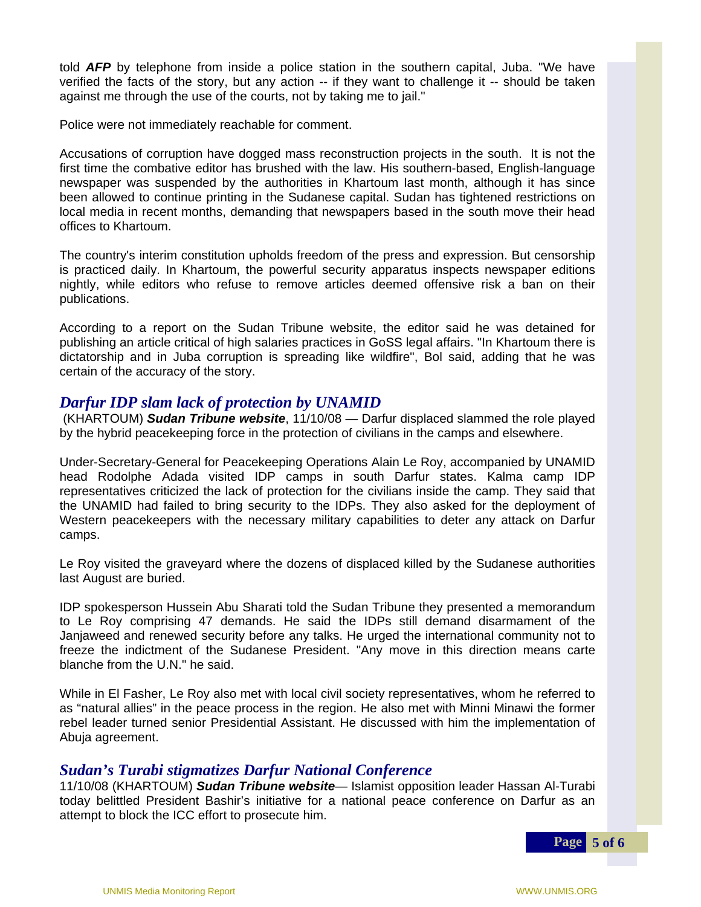told *AFP* by telephone from inside a police station in the southern capital, Juba. "We have verified the facts of the story, but any action -- if they want to challenge it -- should be taken against me through the use of the courts, not by taking me to jail."

Police were not immediately reachable for comment.

Accusations of corruption have dogged mass reconstruction projects in the south. It is not the first time the combative editor has brushed with the law. His southern-based, English-language newspaper was suspended by the authorities in Khartoum last month, although it has since been allowed to continue printing in the Sudanese capital. Sudan has tightened restrictions on local media in recent months, demanding that newspapers based in the south move their head offices to Khartoum.

The country's interim constitution upholds freedom of the press and expression. But censorship is practiced daily. In Khartoum, the powerful security apparatus inspects newspaper editions nightly, while editors who refuse to remove articles deemed offensive risk a ban on their publications.

According to a report on the Sudan Tribune website, the editor said he was detained for publishing an article critical of high salaries practices in GoSS legal affairs. "In Khartoum there is dictatorship and in Juba corruption is spreading like wildfire", Bol said, adding that he was certain of the accuracy of the story.

#### *Darfur IDP slam lack of protection by UNAMID*

 (KHARTOUM) *Sudan Tribune website*, 11/10/08 — Darfur displaced slammed the role played by the hybrid peacekeeping force in the protection of civilians in the camps and elsewhere.

representatives criticized the lack of protection for the civilians inside the camp. They said that Under-Secretary-General for Peacekeeping Operations Alain Le Roy, accompanied by UNAMID head Rodolphe Adada visited IDP camps in south Darfur states. Kalma camp IDP the UNAMID had failed to bring security to the IDPs. They also asked for the deployment of Western peacekeepers with the necessary military capabilities to deter any attack on Darfur camps.

Le Roy visited the graveyard where the dozens of displaced killed by the Sudanese authorities last August are buried.

IDP spokesperson Hussein Abu Sharati told the Sudan Tribune they presented a memorandum to Le Roy comprising 47 demands. He said the IDPs still demand disarmament of the Janjaweed and renewed security before any talks. He urged the international community not to freeze the indictment of the Sudanese President. "Any move in this direction means carte blanche from the U.N." he said.

 While in El Fasher, Le Roy also met with local civil society representatives, whom he referred to as "natural allies" in the peace process in the region. He also met with Minni Minawi the former rebel leader turned senior Presidential Assistant. He discussed with him the implementation of Abuja agreement.

#### *Sudan's Turabi stigmatizes Darfur National Conference*

11/10/08 (KHARTOUM) *Sudan Tribune website*— Islamist opposition leader Hassan Al-Turabi today belittled President Bashir's initiative for a national peace conference on Darfur as an attempt to block the ICC effort to prosecute him.

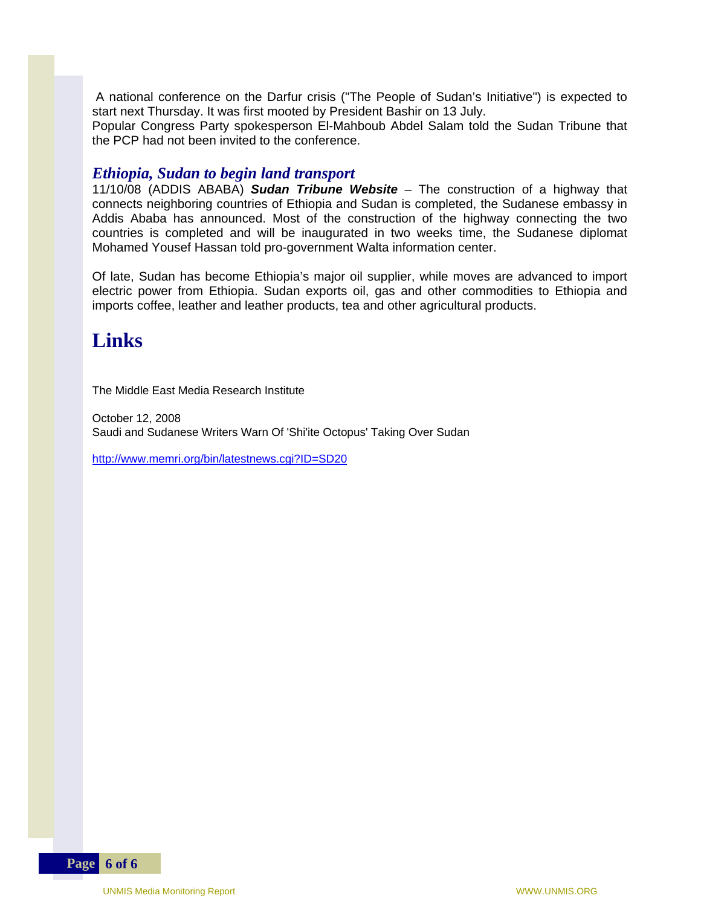A national conference on the Darfur crisis ("The People of Sudan's Initiative") is expected to start next Thursday. It was first mooted by President Bashir on 13 July.

Popular Congress Party spokesperson El-Mahboub Abdel Salam told the Sudan Tribune that the PCP had not been invited to the conference.

#### *Ethiopia, Sudan to begin land transport*

11/10/08 (ADDIS ABABA) *Sudan Tribune Website* – The construction of a highway that connects neighboring countries of Ethiopia and Sudan is completed, the Sudanese embassy in Addis Ababa has announced. Most of the construction of the highway connecting the two countries is completed and will be inaugurated in two weeks time, the Sudanese diplomat Mohamed Yousef Hassan told pro-government Walta information center.

Of late, Sudan has become Ethiopia's major oil supplier, while moves are advanced to import electric power from Ethiopia. Sudan exports oil, gas and other commodities to Ethiopia and imports coffee, leather and leather products, tea and other agricultural products.

## **Links**

The Middle East Media Research Institute

October 12, 2008 Saudi and Sudanese Writers Warn Of 'Shi'ite Octopus' Taking Over Sudan

<http://www.memri.org/bin/latestnews.cgi?ID=SD20>